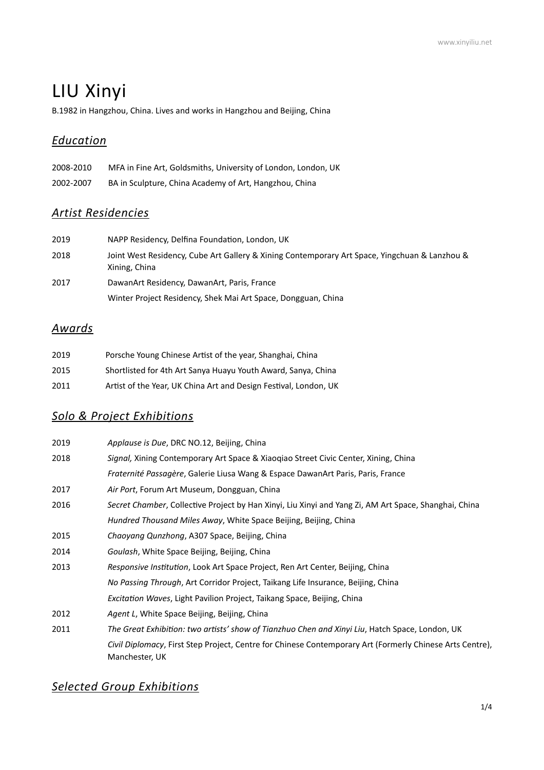# LIU Xinyi

B.1982 in Hangzhou, China. Lives and works in Hangzhou and Beijing, China

## *Education*

| 2008-2010 | MFA in Fine Art, Goldsmiths, University of London, London, UK |
|-----------|---------------------------------------------------------------|
| 2002-2007 | BA in Sculpture, China Academy of Art, Hangzhou, China        |

# *Artist Residencies*

| 2019 | NAPP Residency, Delfina Foundation, London, UK                                                                 |
|------|----------------------------------------------------------------------------------------------------------------|
| 2018 | Joint West Residency, Cube Art Gallery & Xining Contemporary Art Space, Yingchuan & Lanzhou &<br>Xining, China |
| 2017 | DawanArt Residency, DawanArt, Paris, France                                                                    |
|      | Winter Project Residency, Shek Mai Art Space, Dongguan, China                                                  |

# *Awards*

| 2019 | Porsche Young Chinese Artist of the year, Shanghai, China        |
|------|------------------------------------------------------------------|
| 2015 | Shortlisted for 4th Art Sanya Huayu Youth Award, Sanya, China    |
| 2011 | Artist of the Year, UK China Art and Design Festival, London, UK |

### *Solo & Project Exhibitions*

| 2019 | Applause is Due, DRC NO.12, Beijing, China                                                                                 |
|------|----------------------------------------------------------------------------------------------------------------------------|
| 2018 | <i>Signal, Xining Contemporary Art Space &amp; Xiaogiao Street Civic Center, Xining, China</i>                             |
|      | Fraternité Passagère, Galerie Liusa Wang & Espace DawanArt Paris, Paris, France                                            |
| 2017 | Air Port, Forum Art Museum, Dongguan, China                                                                                |
| 2016 | Secret Chamber, Collective Project by Han Xinyi, Liu Xinyi and Yang Zi, AM Art Space, Shanghai, China                      |
|      | <i>Hundred Thousand Miles Away,</i> White Space Beijing, Beijing, China                                                    |
| 2015 | Chaoyang Qunzhong, A307 Space, Beijing, China                                                                              |
| 2014 | Goulash, White Space Beijing, Beijing, China                                                                               |
| 2013 | Responsive Institution, Look Art Space Project, Ren Art Center, Beijing, China                                             |
|      | No Passing Through, Art Corridor Project, Taikang Life Insurance, Beijing, China                                           |
|      | Excitation Waves, Light Pavilion Project, Taikang Space, Beijing, China                                                    |
| 2012 | Agent L, White Space Beijing, Beijing, China                                                                               |
| 2011 | The Great Exhibition: two artists' show of Tianzhuo Chen and Xinyi Liu, Hatch Space, London, UK                            |
|      | Civil Diplomacy, First Step Project, Centre for Chinese Contemporary Art (Formerly Chinese Arts Centre),<br>Manchester, UK |

### **Selected Group Exhibitions**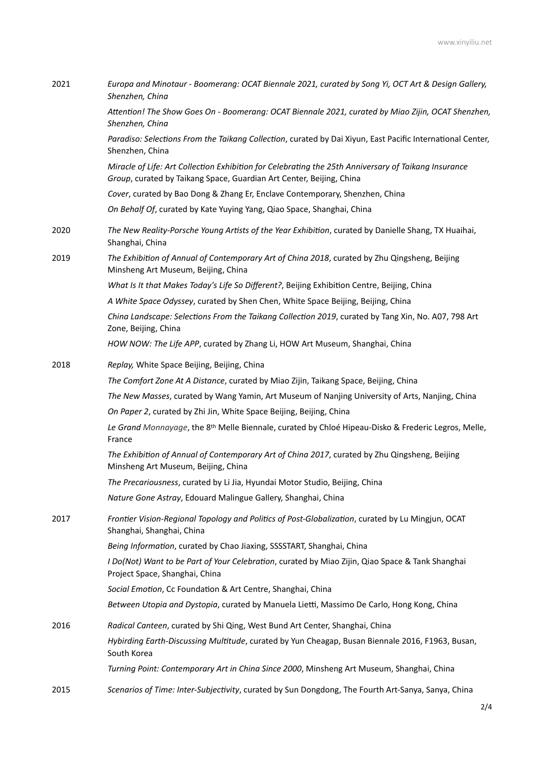| 2021 | Europa and Minotaur - Boomerang: OCAT Biennale 2021, curated by Song Yi, OCT Art & Design Gallery,<br>Shenzhen, China                                                        |
|------|------------------------------------------------------------------------------------------------------------------------------------------------------------------------------|
|      | Attention! The Show Goes On - Boomerang: OCAT Biennale 2021, curated by Miao Zijin, OCAT Shenzhen,<br>Shenzhen, China                                                        |
|      | Paradiso: Selections From the Taikang Collection, curated by Dai Xiyun, East Pacific International Center,<br>Shenzhen, China                                                |
|      | Miracle of Life: Art Collection Exhibition for Celebrating the 25th Anniversary of Taikang Insurance<br>Group, curated by Taikang Space, Guardian Art Center, Beijing, China |
|      | Cover, curated by Bao Dong & Zhang Er, Enclave Contemporary, Shenzhen, China                                                                                                 |
|      | On Behalf Of, curated by Kate Yuying Yang, Qiao Space, Shanghai, China                                                                                                       |
| 2020 | The New Reality-Porsche Young Artists of the Year Exhibition, curated by Danielle Shang, TX Huaihai,<br>Shanghai, China                                                      |
| 2019 | The Exhibition of Annual of Contemporary Art of China 2018, curated by Zhu Qingsheng, Beijing<br>Minsheng Art Museum, Beijing, China                                         |
|      | What Is It that Makes Today's Life So Different?, Beijing Exhibition Centre, Beijing, China                                                                                  |
|      | A White Space Odyssey, curated by Shen Chen, White Space Beijing, Beijing, China                                                                                             |
|      | China Landscape: Selections From the Taikang Collection 2019, curated by Tang Xin, No. A07, 798 Art<br>Zone, Beijing, China                                                  |
|      | HOW NOW: The Life APP, curated by Zhang Li, HOW Art Museum, Shanghai, China                                                                                                  |
| 2018 | Replay, White Space Beijing, Beijing, China                                                                                                                                  |
|      | The Comfort Zone At A Distance, curated by Miao Zijin, Taikang Space, Beijing, China                                                                                         |
|      | The New Masses, curated by Wang Yamin, Art Museum of Nanjing University of Arts, Nanjing, China                                                                              |
|      | On Paper 2, curated by Zhi Jin, White Space Beijing, Beijing, China                                                                                                          |
|      | Le Grand Monnayage, the 8th Melle Biennale, curated by Chloé Hipeau-Disko & Frederic Legros, Melle,<br>France                                                                |
|      | The Exhibition of Annual of Contemporary Art of China 2017, curated by Zhu Qingsheng, Beijing<br>Minsheng Art Museum, Beijing, China                                         |
|      | The Precariousness, curated by Li Jia, Hyundai Motor Studio, Beijing, China                                                                                                  |
|      | Nature Gone Astray, Edouard Malingue Gallery, Shanghai, China                                                                                                                |
| 2017 | Frontier Vision-Regional Topology and Politics of Post-Globalization, curated by Lu Mingjun, OCAT<br>Shanghai, Shanghai, China                                               |
|      | Being Information, curated by Chao Jiaxing, SSSSTART, Shanghai, China                                                                                                        |
|      | I Do(Not) Want to be Part of Your Celebration, curated by Miao Zijin, Qiao Space & Tank Shanghai<br>Project Space, Shanghai, China                                           |
|      | Social Emotion, Cc Foundation & Art Centre, Shanghai, China                                                                                                                  |
|      | Between Utopia and Dystopia, curated by Manuela Lietti, Massimo De Carlo, Hong Kong, China                                                                                   |
| 2016 | Radical Canteen, curated by Shi Qing, West Bund Art Center, Shanghai, China                                                                                                  |
|      | Hybirding Earth-Discussing Multitude, curated by Yun Cheagap, Busan Biennale 2016, F1963, Busan,<br>South Korea                                                              |
|      | Turning Point: Contemporary Art in China Since 2000, Minsheng Art Museum, Shanghai, China                                                                                    |
| 2015 | Scenarios of Time: Inter-Subjectivity, curated by Sun Dongdong, The Fourth Art-Sanya, Sanya, China                                                                           |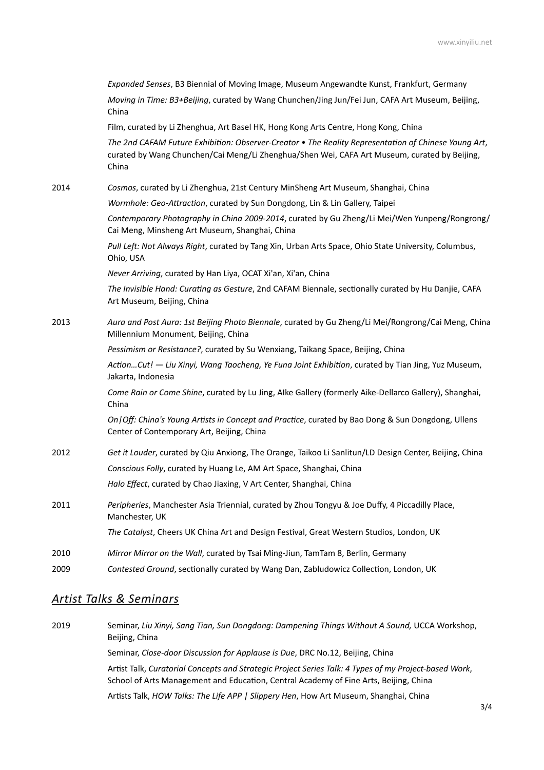|      | Expanded Senses, B3 Biennial of Moving Image, Museum Angewandte Kunst, Frankfurt, Germany                                                                                                                     |
|------|---------------------------------------------------------------------------------------------------------------------------------------------------------------------------------------------------------------|
|      | Moving in Time: B3+Beijing, curated by Wang Chunchen/Jing Jun/Fei Jun, CAFA Art Museum, Beijing,<br>China                                                                                                     |
|      | Film, curated by Li Zhenghua, Art Basel HK, Hong Kong Arts Centre, Hong Kong, China                                                                                                                           |
|      | The 2nd CAFAM Future Exhibition: Observer-Creator . The Reality Representation of Chinese Young Art,<br>curated by Wang Chunchen/Cai Meng/Li Zhenghua/Shen Wei, CAFA Art Museum, curated by Beijing,<br>China |
| 2014 | Cosmos, curated by Li Zhenghua, 21st Century MinSheng Art Museum, Shanghai, China                                                                                                                             |
|      | Wormhole: Geo-Attraction, curated by Sun Dongdong, Lin & Lin Gallery, Taipei                                                                                                                                  |
|      | Contemporary Photography in China 2009-2014, curated by Gu Zheng/Li Mei/Wen Yunpeng/Rongrong/<br>Cai Meng, Minsheng Art Museum, Shanghai, China                                                               |
|      | Pull Left: Not Always Right, curated by Tang Xin, Urban Arts Space, Ohio State University, Columbus,<br>Ohio, USA                                                                                             |
|      | Never Arriving, curated by Han Liya, OCAT Xi'an, Xi'an, China                                                                                                                                                 |
|      | The Invisible Hand: Curating as Gesture, 2nd CAFAM Biennale, sectionally curated by Hu Danjie, CAFA<br>Art Museum, Beijing, China                                                                             |
| 2013 | Aura and Post Aura: 1st Beijing Photo Biennale, curated by Gu Zheng/Li Mei/Rongrong/Cai Meng, China<br>Millennium Monument, Beijing, China                                                                    |
|      | Pessimism or Resistance?, curated by Su Wenxiang, Taikang Space, Beijing, China                                                                                                                               |
|      | ActionCut! - Liu Xinyi, Wang Taocheng, Ye Funa Joint Exhibition, curated by Tian Jing, Yuz Museum,<br>Jakarta, Indonesia                                                                                      |
|      | Come Rain or Come Shine, curated by Lu Jing, Alke Gallery (formerly Aike-Dellarco Gallery), Shanghai,<br>China                                                                                                |
|      | On   Off: China's Young Artists in Concept and Practice, curated by Bao Dong & Sun Dongdong, Ullens<br>Center of Contemporary Art, Beijing, China                                                             |
| 2012 | Get it Louder, curated by Qiu Anxiong, The Orange, Taikoo Li Sanlitun/LD Design Center, Beijing, China                                                                                                        |
|      | Conscious Folly, curated by Huang Le, AM Art Space, Shanghai, China                                                                                                                                           |
|      | Halo Effect, curated by Chao Jiaxing, V Art Center, Shanghai, China                                                                                                                                           |
| 2011 | Peripheries, Manchester Asia Triennial, curated by Zhou Tongyu & Joe Duffy, 4 Piccadilly Place,<br>Manchester, UK                                                                                             |
|      | The Catalyst, Cheers UK China Art and Design Festival, Great Western Studios, London, UK                                                                                                                      |
| 2010 | Mirror Mirror on the Wall, curated by Tsai Ming-Jiun, TamTam 8, Berlin, Germany                                                                                                                               |
| 2009 | Contested Ground, sectionally curated by Wang Dan, Zabludowicz Collection, London, UK                                                                                                                         |
|      |                                                                                                                                                                                                               |

#### *Artist Talks & Seminars*

2019 Seminar, *Liu Xinyi, Sang Tian, Sun Dongdong: Dampening Things Without A Sound, UCCA Workshop,* Beijing, China Seminar, *Close-door Discussion for Applause is Due*, DRC No.12, Beijing, China Artist Talk, *Curatorial Concepts and Strategic Project Series Talk: 4 Types of my Project-based Work*, School of Arts Management and Education, Central Academy of Fine Arts, Beijing, China Artists Talk, *HOW Talks: The Life APP | Slippery Hen*, How Art Museum, Shanghai, China